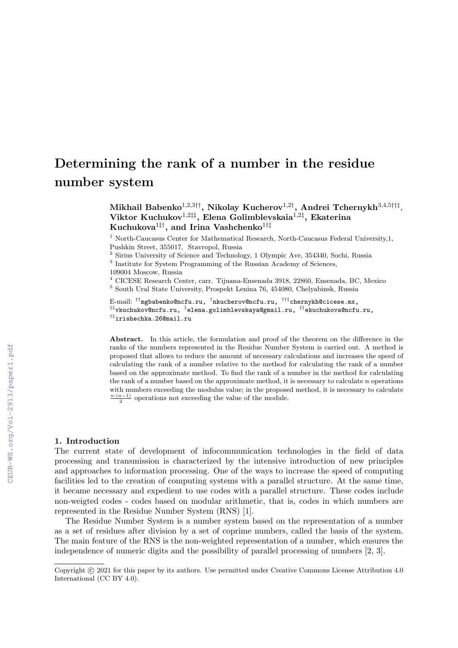# Determining the rank of a number in the residue number system

Mikhail Babenko $^{1,2,3\dagger\dagger}$ , Nikolay Kucherov $^{1,2\dagger}$ , Andrei Tchernykh $^{3,4,5\dagger\dagger\dagger}$ , Viktor Kuchukov1,2‡‡, Elena Golimblevskaia1,2‡ , Ekaterina Kuchukova<sup>1‡†</sup>, and Irina Vashchenko<sup>1†‡</sup>

<sup>1</sup> North-Caucasus Center for Mathematical Research, North-Caucasus Federal University,1, Pushkin Street, 355017, Stavropol, Russia

<sup>2</sup> Sirius University of Science and Technology, 1 Olympic Ave, 354340, Sochi, Russia

<sup>3</sup> Institute for System Programming of the Russian Academy of Sciences,

109004 Moscow, Russia

<sup>4</sup> CICESE Research Center, carr. Tijuana-Ensenada 3918, 22860, Ensenada, BC, Mexico  $^5$  South Ural State University, Prospekt Lenina 76, 454080, Chelyabinsk, Russia

E-mail: <sup>††</sup>mgbabenko@ncfu.ru, <sup>†</sup>nkucherov@ncfu.ru, <sup>††‡</sup>chernykh@cicese.mx, ‡‡vkuchukov@ncfu.ru, ‡ elena.golimblevskaya@gmail.ru, ‡†ekuchukova@ncfu.ru, †‡irishechka.26@mail.ru

Abstract. In this article, the formulation and proof of the theorem on the difference in the ranks of the numbers represented in the Residue Number System is carried out. A method is proposed that allows to reduce the amount of necessary calculations and increases the speed of calculating the rank of a number relative to the method for calculating the rank of a number based on the approximate method. To find the rank of a number in the method for calculating the rank of a number based on the approximate method, it is necessary to calculate n operations with numbers exceeding the modulus value; in the proposed method, it is necessary to calculate  $\frac{n \cdot (n-1)}{2}$  operations not exceeding the value of the module.

### 1. Introduction

The current state of development of infocommunication technologies in the field of data processing and transmission is characterized by the intensive introduction of new principles and approaches to information processing. One of the ways to increase the speed of computing facilities led to the creation of computing systems with a parallel structure. At the same time, it became necessary and expedient to use codes with a parallel structure. These codes include non-weigted codes - codes based on modular arithmetic, that is, codes in which numbers are represented in the Residue Number System (RNS) [1].

The Residue Number System is a number system based on the representation of a number as a set of residues after division by a set of coprime numbers, called the basis of the system. The main feature of the RNS is the non-weighted representation of a number, which ensures the independence of numeric digits and the possibility of parallel processing of numbers [2, 3].

Copyright © 2021 for this paper by its authors. Use permitted under Creative Commons License Attribution 4.0 International (CC BY 4.0).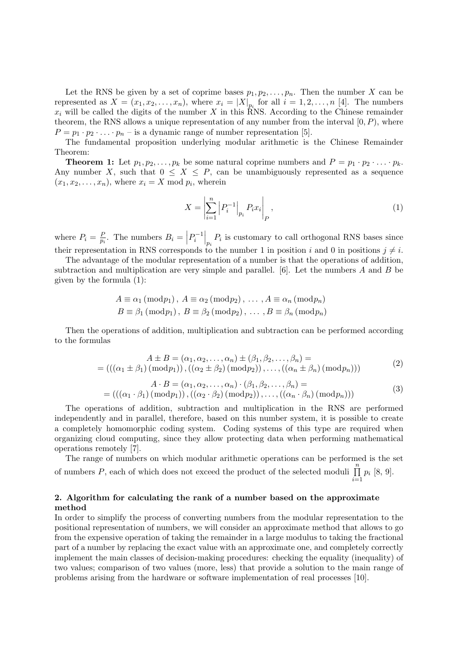Let the RNS be given by a set of coprime bases  $p_1, p_2, \ldots, p_n$ . Then the number X can be represented as  $X = (x_1, x_2, \ldots, x_n)$ , where  $x_i = |X|_{p_i}$  for all  $i = 1, 2, \ldots, n$  [4]. The numbers  $x_i$  will be called the digits of the number X in this RNS. According to the Chinese remainder theorem, the RNS allows a unique representation of any number from the interval  $[0, P)$ , where  $P = p_1 \cdot p_2 \cdot \ldots \cdot p_n$  – is a dynamic range of number representation [5].

The fundamental proposition underlying modular arithmetic is the Chinese Remainder Theorem:

**Theorem 1:** Let  $p_1, p_2, \ldots, p_k$  be some natural coprime numbers and  $P = p_1 \cdot p_2 \cdot \ldots \cdot p_k$ . Any number X, such that  $0 \leq X \leq P$ , can be unambiguously represented as a sequence  $(x_1, x_2, \ldots, x_n)$ , where  $x_i = X \mod p_i$ , wherein

$$
X = \left| \sum_{i=1}^{n} \left| P_{i}^{-1} \right|_{p_{i}} P_{i} x_{i} \right|_{P}, \tag{1}
$$

where  $P_i = \frac{F}{n_i}$  $\frac{P}{p_i}$ . The numbers  $B_i = \left| P_i^{-1} \right|_{p_i} P_i$  is customary to call orthogonal RNS bases since their representation in RNS corresponds to the number 1 in position i and 0 in positions  $i \neq i$ .

The advantage of the modular representation of a number is that the operations of addition, subtraction and multiplication are very simple and parallel.  $[6]$ . Let the numbers A and B be given by the formula (1):

$$
A \equiv \alpha_1 \text{ (mod} p_1), A \equiv \alpha_2 \text{ (mod} p_2), \dots, A \equiv \alpha_n \text{ (mod} p_n)
$$
  

$$
B \equiv \beta_1 \text{ (mod} p_1), B \equiv \beta_2 \text{ (mod} p_2), \dots, B \equiv \beta_n \text{ (mod} p_n)
$$

Then the operations of addition, multiplication and subtraction can be performed according to the formulas

$$
A \pm B = (\alpha_1, \alpha_2, \dots, \alpha_n) \pm (\beta_1, \beta_2, \dots, \beta_n) =
$$
  
= 
$$
(((\alpha_1 \pm \beta_1) (\bmod p_1)), ((\alpha_2 \pm \beta_2) (\bmod p_2)), \dots, ((\alpha_n \pm \beta_n) (\bmod p_n)))
$$
 (2)

$$
A \cdot B = (\alpha_1, \alpha_2, \dots, \alpha_n) \cdot (\beta_1, \beta_2, \dots, \beta_n) =
$$
  
= 
$$
(((\alpha_1 \cdot \beta_1) (\bmod p_1)), ((\alpha_2 \cdot \beta_2) (\bmod p_2)), \dots, ((\alpha_n \cdot \beta_n) (\bmod p_n)))
$$
 (3)

The operations of addition, subtraction and multiplication in the RNS are performed independently and in parallel, therefore, based on this number system, it is possible to create a completely homomorphic coding system. Coding systems of this type are required when organizing cloud computing, since they allow protecting data when performing mathematical operations remotely [7].

The range of numbers on which modular arithmetic operations can be performed is the set of numbers P, each of which does not exceed the product of the selected moduli  $\prod_{n=1}^{n}$  $\prod_{i=1} p_i [8, 9].$ 

## 2. Algorithm for calculating the rank of a number based on the approximate method

In order to simplify the process of converting numbers from the modular representation to the positional representation of numbers, we will consider an approximate method that allows to go from the expensive operation of taking the remainder in a large modulus to taking the fractional part of a number by replacing the exact value with an approximate one, and completely correctly implement the main classes of decision-making procedures: checking the equality (inequality) of two values; comparison of two values (more, less) that provide a solution to the main range of problems arising from the hardware or software implementation of real processes [10].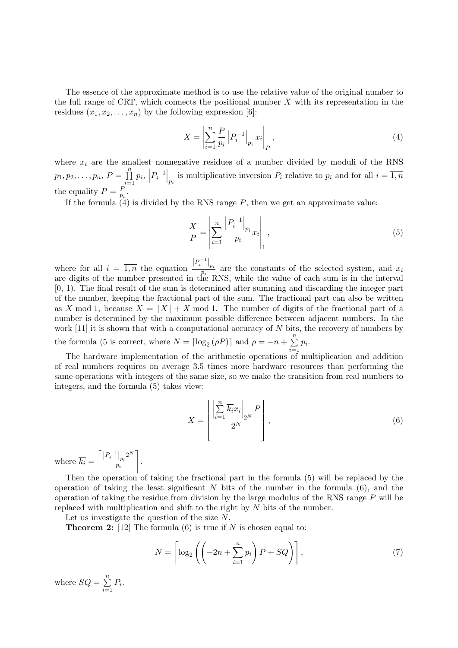The essence of the approximate method is to use the relative value of the original number to the full range of CRT, which connects the positional number  $X$  with its representation in the residues  $(x_1, x_2, \ldots, x_n)$  by the following expression [6]:

$$
X = \left| \sum_{i=1}^{n} \frac{P}{p_i} \left| P_i^{-1} \right|_{p_i} x_i \right|_P, \tag{4}
$$

where  $x_i$  are the smallest nonnegative residues of a number divided by moduli of the RNS  $p_1, p_2, \ldots, p_n, P = \prod^n$  $\prod_{i=1}^{n} p_i$ ,  $\left| P_i^{-1} \right|_{p_i}$  is multiplicative inversion  $P_i$  relative to  $p_i$  and for all  $i = \overline{1,n}$ the equality  $P = \frac{F}{n}$  $\frac{P}{p_i}$  .

If the formula  $(4)$  is divided by the RNS range  $P$ , then we get an approximate value:

$$
\frac{X}{P} = \left| \sum_{i=1}^{n} \frac{\left| P_{i}^{-1} \right|_{p_{i}}}{p_{i}} x_{i} \right|_{1}, \tag{5}
$$

where for all  $i = \overline{1,n}$  the equation  $\frac{|P_i^{-1}|_{p_i}}{p_i}$  are the constants of the selected system, and  $x_i$ are digits of the number presented in the RNS, while the value of each sum is in the interval [0, 1). The final result of the sum is determined after summing and discarding the integer part of the number, keeping the fractional part of the sum. The fractional part can also be written as X mod 1, because  $X = |X| + X$  mod 1. The number of digits of the fractional part of a number is determined by the maximum possible difference between adjacent numbers. In the work  $[11]$  it is shown that with a computational accuracy of N bits, the recovery of numbers by the formula (5 is correct, where  $N = \lceil \log_2(\rho P) \rceil$  and  $\rho = -n + \sum_{n=1}^{\infty}$  $\sum_{i=1} p_i$ .

The hardware implementation of the arithmetic operations of multiplication and addition of real numbers requires on average 3.5 times more hardware resources than performing the same operations with integers of the same size, so we make the transition from real numbers to integers, and the formula (5) takes view:

$$
X = \left[ \frac{\left| \sum_{i=1}^{n} \overline{k_i} x_i \right|_{2^N} P}{2^N} \right],
$$
\n
$$
(6)
$$

where  $k_i =$  $\left[ \left. \frac{\left| P_{i}^{-1} \right|_{p_{i}}}{2^{N}} \right]$  $\frac{1}{p_i} \frac{2^N}{p_i}$ .

Then the operation of taking the fractional part in the formula (5) will be replaced by the operation of taking the least significant  $N$  bits of the number in the formula  $(6)$ , and the operation of taking the residue from division by the large modulus of the RNS range  $P$  will be replaced with multiplication and shift to the right by  $N$  bits of the number.

Let us investigate the question of the size N.

**Theorem 2:** [12] The formula  $(6)$  is true if N is chosen equal to:

$$
N = \left\lceil \log_2 \left( \left( -2n + \sum_{i=1}^n p_i \right) P + SQ \right) \right\rceil, \tag{7}
$$

where  $SQ = \sum_{n=1}^{\infty}$  $\sum_{i=1} P_i$ .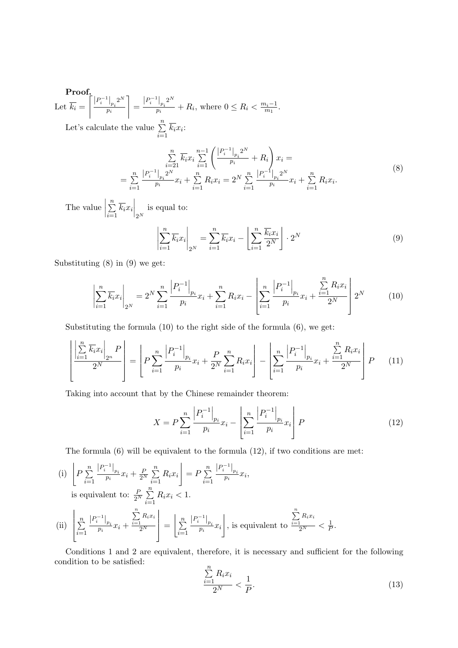Proof. Let  $k_i =$  $\left[\left|P_i^{-1}\right|_{p_i}2^N\right]$  $\frac{1}{p_i} \frac{2^N}{p_i}$ =  $\left|P_i^{-1}\right|_{p_i}2^N$  $\frac{|p_i|^2}{p_i} + R_i$ , where  $0 \le R_i < \frac{m_i - 1}{m_1}$  $\frac{n_i-1}{m_1}$ . Let's calculate the value  $\sum_{n=1}^{\infty}$  $\sum\limits_{i=1}k_ix_i$ 

$$
\sum_{i=21}^{n} \overline{k_i} x_i \sum_{i=1}^{n-1} \left( \frac{|P_i^{-1}|_{p_i} 2^N}{p_i} + R_i \right) x_i =
$$
\n
$$
= \sum_{i=1}^{n} \frac{|P_i^{-1}|_{p_i} 2^N}{p_i} x_i + \sum_{i=1}^{n} R_i x_i = 2^N \sum_{i=1}^{n} \frac{|P_i^{-1}|_{p_i} 2^N}{p_i} x_i + \sum_{i=1}^{n} R_i x_i.
$$
\n(8)

The value  $\Big|$  $\sum_{n=1}^{\infty}$  $\sum_{i=1}^n \overline{k_i} x_i \Big|_{2^N}$ is equal to:

$$
\left| \sum_{i=1}^{n} \overline{k_i} x_i \right|_{2^N} = \sum_{i=1}^{n} \overline{k_i} x_i - \left| \sum_{i=1}^{n} \frac{\overline{k_i} x_i}{2^N} \right| \cdot 2^N \tag{9}
$$

Substituting (8) in (9) we get:

$$
\left| \sum_{i=1}^{n} \overline{k_i} x_i \right|_{2^N} = 2^N \sum_{i=1}^{n} \frac{\left| P_i^{-1} \right|_{p_i}}{p_i} x_i + \sum_{i=1}^{n} R_i x_i - \left| \sum_{i=1}^{n} \frac{\left| P_i^{-1} \right|_{p_i}}{p_i} x_i + \frac{\sum_{i=1}^{n} R_i x_i}{2^N} \right| 2^N \tag{10}
$$

Substituting the formula (10) to the right side of the formula (6), we get:

$$
\left[ \frac{\left| \sum_{i=1}^{n} \overline{k_i} x_i \right|_{2^n} P}{2^N} \right] = \left[ P \sum_{i=1}^{n} \frac{\left| P_i^{-1} \right|_{p_i}}{p_i} x_i + \frac{P}{2^N} \sum_{i=1}^{n} R_i x_i \right] - \left[ \sum_{i=1}^{n} \frac{\left| P_i^{-1} \right|_{p_i}}{p_i} x_i + \frac{\sum_{i=1}^{n} R_i x_i}{2^N} \right] P \tag{11}
$$

Taking into account that by the Chinese remainder theorem:

$$
X = P \sum_{i=1}^{n} \frac{\left| P_{i}^{-1} \right|_{p_{i}}}{p_{i}} x_{i} - \left| \sum_{i=1}^{n} \frac{\left| P_{i}^{-1} \right|_{p_{i}}}{p_{i}} x_{i} \right| P \tag{12}
$$

The formula  $(6)$  will be equivalent to the formula  $(12)$ , if two conditions are met:

(i) 
$$
\left| P \sum_{i=1}^{n} \frac{|P_{i}^{-1}|_{p_{i}}}{p_{i}} x_{i} + \frac{P}{2^{N}} \sum_{i=1}^{n} R_{i} x_{i} \right| = P \sum_{i=1}^{n} \frac{|P_{i}^{-1}|_{p_{i}}}{p_{i}} x_{i},
$$
  
is equivalent to: 
$$
\frac{P}{2^{N}} \sum_{i=1}^{n} R_{i} x_{i} < 1.
$$
  
(ii) 
$$
\left| \sum_{i=1}^{n} \frac{|P_{i}^{-1}|_{p_{i}}}{p_{i}} x_{i} + \frac{\sum_{i=1}^{n} R_{i} x_{i}}{2^{N}} \right| = \left| \sum_{i=1}^{n} \frac{|P_{i}^{-1}|_{p_{i}}}{p_{i}} x_{i} \right|, \text{ is equivalent to } \frac{\sum_{i=1}^{n} R_{i} x_{i}}{2^{N}} < \frac{1}{P}.
$$

Conditions 1 and 2 are equivalent, therefore, it is necessary and sufficient for the following condition to be satisfied:  $\boldsymbol{n}$ 

$$
\frac{\sum_{i=1}^{n} R_i x_i}{2^N} < \frac{1}{P}.\tag{13}
$$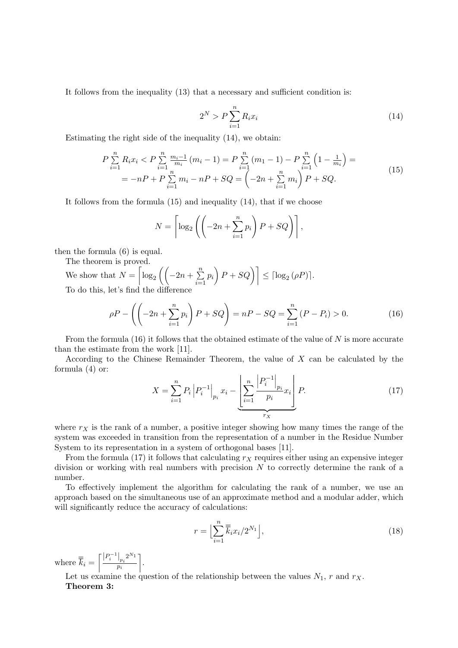It follows from the inequality (13) that a necessary and sufficient condition is:

$$
2^N > P \sum_{i=1}^n R_i x_i \tag{14}
$$

Estimating the right side of the inequality (14), we obtain:

$$
P \sum_{i=1}^{n} R_i x_i < P \sum_{i=1}^{n} \frac{m_i - 1}{m_i} (m_i - 1) = P \sum_{i=1}^{n} (m_1 - 1) - P \sum_{i=1}^{n} \left( 1 - \frac{1}{m_i} \right) =
$$
\n
$$
= -nP + P \sum_{i=1}^{n} m_i - nP + SQ = \left( -2n + \sum_{i=1}^{n} m_i \right) P + SQ. \tag{15}
$$

It follows from the formula (15) and inequality (14), that if we choose

$$
N = \left\lceil \log_2 \left( \left( -2n + \sum_{i=1}^n p_i \right) P + SQ \right) \right\rceil,
$$

then the formula (6) is equal.

The theorem is proved.

We show that  $N = \left\lceil \log_2 \left( \left( -2n + \sum_{n=1}^{\infty} \right) \right) \right\rceil$  $\left[\sum_{i=1}^{n} p_i\right] P + SQ \bigg] \leq \left[\log_2(\rho P)\right].$ To do this, let's find the difference

$$
\rho P - \left( \left( -2n + \sum_{i=1}^{n} p_i \right) P + SQ \right) = nP - SQ = \sum_{i=1}^{n} (P - P_i) > 0. \tag{16}
$$

From the formula  $(16)$  it follows that the obtained estimate of the value of N is more accurate than the estimate from the work [11].

According to the Chinese Remainder Theorem, the value of X can be calculated by the formula (4) or:

$$
X = \sum_{i=1}^{n} P_i \left| P_i^{-1} \right|_{p_i} x_i - \underbrace{\left| \sum_{i=1}^{n} \frac{\left| P_i^{-1} \right|_{p_i}}{p_i} x_i \right|}_{r_X} P. \tag{17}
$$

where  $r_X$  is the rank of a number, a positive integer showing how many times the range of the system was exceeded in transition from the representation of a number in the Residue Number System to its representation in a system of orthogonal bases [11].

From the formula (17) it follows that calculating  $r<sub>X</sub>$  requires either using an expensive integer division or working with real numbers with precision  $N$  to correctly determine the rank of a number.

To effectively implement the algorithm for calculating the rank of a number, we use an approach based on the simultaneous use of an approximate method and a modular adder, which will significantly reduce the accuracy of calculations:

$$
r = \Big[\sum_{i=1}^{n} \overline{k}_i x_i / 2^{N_1}\Big],\tag{18}
$$

where  $\overline{\overline{k}}_i = \left[\frac{|P_i^{-1}|_{p_i} 2^{N_1}}{n_i}\right]$ pi .

Let us examine the question of the relationship between the values  $N_1$ , r and  $r_X$ . Theorem 3: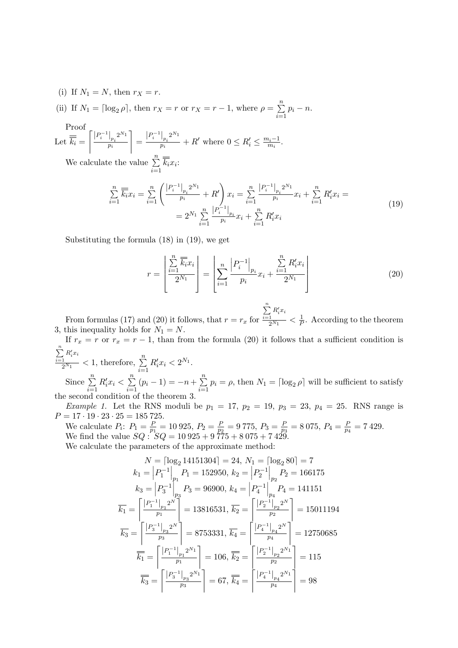(i) If  $N_1 = N$ , then  $r_X = r$ .

(ii) If  $N_1 = \lceil \log_2 \rho \rceil$ , then  $r_X = r$  or  $r_X = r - 1$ , where  $\rho = \sum_{n=1}^{\infty}$  $\sum_{i=1} p_i - n.$ 

Proof  
\nLet 
$$
\overline{k_i} = \left\lceil \frac{|P_i^{-1}|_{p_i} 2^{N_1}}{p_i} \right\rceil = \frac{|P_i^{-1}|_{p_i} 2^{N_1}}{p_i} + R'
$$
 where  $0 \le R_i' \le \frac{m_i - 1}{m_i}$   
\nWe calculate the value  $\sum_{i=1}^{n} \overline{k_i} x_i$ :

 $\sum\limits_{i=1}k_ix_i$ :

$$
\sum_{i=1}^{n} \overline{k_i} x_i = \sum_{i=1}^{n} \left( \frac{|P_i^{-1}|_{p_i} 2^{N_1}}{p_i} + R' \right) x_i = \sum_{i=1}^{n} \frac{|P_i^{-1}|_{p_i} 2^{N_1}}{p_i} x_i + \sum_{i=1}^{n} R'_i x_i =
$$
\n
$$
= 2^{N_1} \sum_{i=1}^{n} \frac{|P_i^{-1}|_{p_i}}{p_i} x_i + \sum_{i=1}^{n} R'_i x_i
$$
\n(19)

Substituting the formula (18) in (19), we get

$$
r = \left[ \frac{\sum_{i=1}^{n} \overline{k_i} x_i}{2^{N_1}} \right] = \left[ \sum_{i=1}^{n} \frac{\left| P_i^{-1} \right|_{p_i}}{p_i} x_i + \frac{\sum_{i=1}^{n} R'_i x_i}{2^{N_1}} \right]
$$
(20)

.

From formulas (17) and (20) it follows, that  $r = r_x$  for  $\sum_{i=1}^n$  $R_i^\prime x_i$  $\frac{1}{2^{N_1}} < \frac{1}{F}$  $\frac{1}{P}$ . According to the theorem 3, this inequality holds for  $N_1 = N$ .

If  $r_x = r$  or  $r_x = r - 1$ , than from the formula (20) it follows that a sufficient condition is  $\sum_{i=1}^n$ 

 $\frac{\sum_{i=1}^{n} R'_i x_i}{2^{N_1}} < 1$ , therefore,  $\sum_{i=1}^{n}$  $R'_i x_i < 2^{N_1}.$ Since  $\sum_{n=1}^{\infty}$ 

 $i=1$  $R'_i x_i < \sum_{i=1}^n$  $\sum_{i=1}^{n} (p_i - 1) = -n + \sum_{i=1}^{n}$  $\sum_{i=1} p_i = \rho$ , then  $N_1 = \lceil \log_2 \rho \rceil$  will be sufficient to satisfy the second condition of the theorem 3.

*Example 1.* Let the RNS moduli be  $p_1 = 17$ ,  $p_2 = 19$ ,  $p_3 = 23$ ,  $p_4 = 25$ . RNS range is  $P = 17 \cdot 19 \cdot 23 \cdot 25 = 185725.$ 

We calculate  $P_i: P_1 = \frac{P}{p_1}$  $\frac{P}{p_1} = 10925, P_2 = \frac{P}{p_2}$  $\frac{P}{p_2}=9$  775,  $P_3=\frac{P}{p_3}$  $\frac{P}{p_3}=8\,075,\,P_4=\frac{P}{p_4}$  $\frac{P}{p_4} = 7\,429.$ We find the value  $SQ: SQ = 10925 + 9775 + 8075 + 7429$ . We calculate the parameters of the approximate method:

$$
N = \left\lceil \log_2 14151304 \right\rceil = 24, N_1 = \left\lceil \log_2 80 \right\rceil = 7
$$
  
\n
$$
k_1 = \left| P_1^{-1} \right|_{p_1} P_1 = 152950, k_2 = \left| P_2^{-1} \right|_{p_2} P_2 = 166175
$$
  
\n
$$
k_3 = \left| P_3^{-1} \right|_{p_3} P_3 = 96900, k_4 = \left| P_4^{-1} \right|_{p_4} P_4 = 141151
$$
  
\n
$$
\overline{k_1} = \left\lceil \frac{\left| P_1^{-1} \right|_{p_1} 2^N}{p_1} \right\rceil = 13816531, \overline{k_2} = \left\lceil \frac{\left| P_2^{-1} \right|_{p_2} 2^N}{p_2} \right\rceil = 15011194
$$
  
\n
$$
\overline{k_3} = \left\lceil \frac{\left| P_3^{-1} \right|_{p_3} 2^N}{p_3} \right\rceil = 8753331, \overline{k_4} = \left\lceil \frac{\left| P_4^{-1} \right|_{p_4} 2^N}{p_4} \right\rceil = 12750685
$$
  
\n
$$
\overline{\overline{k_1}} = \left\lceil \frac{\left| P_1^{-1} \right|_{p_1} 2^{N_1}}{p_1} \right\rceil = 106, \overline{\overline{k_2}} = \left\lceil \frac{\left| P_2^{-1} \right|_{p_2} 2^{N_1}}{p_2} \right\rceil = 115
$$
  
\n
$$
\overline{\overline{k_3}} = \left\lceil \frac{\left| P_3^{-1} \right|_{p_3} 2^{N_1}}{p_3} \right\rceil = 67, \overline{\overline{k_4}} = \left\lceil \frac{\left| P_4^{-1} \right|_{p_4} 2^{N_1}}{p_4} \right\rceil = 98
$$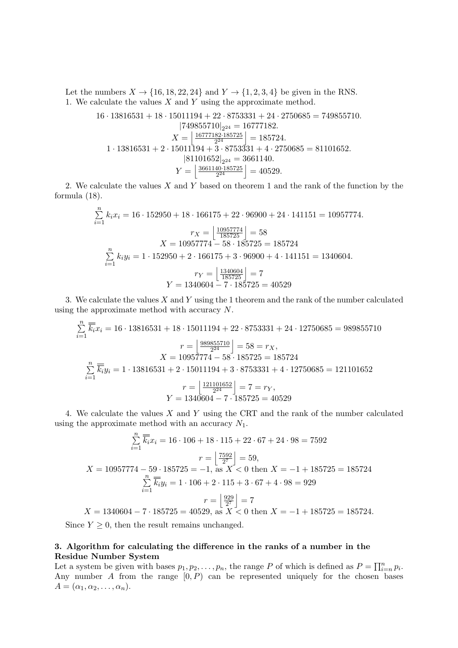Let the numbers  $X \rightarrow \{16, 18, 22, 24\}$  and  $Y \rightarrow \{1, 2, 3, 4\}$  be given in the RNS. 1. We calculate the values  $X$  and  $Y$  using the approximate method.

$$
16 \cdot 13816531 + 18 \cdot 15011194 + 22 \cdot 8753331 + 24 \cdot 2750685 = 749855710.
$$
  
\n
$$
|749855710|_{2^{24}} = 16777182.
$$
  
\n
$$
X = \left| \frac{16777182 \cdot 185725}{2^{24}} \right| = 185724.
$$
  
\n
$$
1 \cdot 13816531 + 2 \cdot 15011194 + 3 \cdot 8753331 + 4 \cdot 2750685 = 81101652.
$$
  
\n
$$
|81101652|_{2^{24}} = 3661140.
$$
  
\n
$$
Y = \left| \frac{3661140 \cdot 185725}{2^{24}} \right| = 40529.
$$

2. We calculate the values  $X$  and  $Y$  based on theorem 1 and the rank of the function by the formula (18).

$$
\sum_{i=1}^{n} k_i x_i = 16 \cdot 152950 + 18 \cdot 166175 + 22 \cdot 96900 + 24 \cdot 141151 = 10957774.
$$
\n
$$
r_X = \left\lfloor \frac{10957774}{185725} \right\rfloor = 58
$$
\n
$$
X = 10957774 - 58 \cdot 185725 = 185724
$$
\n
$$
\sum_{i=1}^{n} k_i y_i = 1 \cdot 152950 + 2 \cdot 166175 + 3 \cdot 96900 + 4 \cdot 141151 = 1340604.
$$
\n
$$
r_Y = \left\lfloor \frac{1340604}{185725} \right\rfloor = 7
$$
\n
$$
Y = 1340604 - 7 \cdot 185725 = 40529
$$

3. We calculate the values  $X$  and  $Y$  using the 1 theorem and the rank of the number calculated using the approximate method with accuracy N.

$$
\sum_{i=1}^{n} \overline{k_i} x_i = 16 \cdot 13816531 + 18 \cdot 15011194 + 22 \cdot 8753331 + 24 \cdot 12750685 = 989855710
$$
\n
$$
r = \left\lfloor \frac{989855710}{2^{24}} \right\rfloor = 58 = r_X,
$$
\n
$$
X = 10957774 - 58 \cdot 185725 = 185724
$$
\n
$$
\sum_{i=1}^{n} \overline{k_i} y_i = 1 \cdot 13816531 + 2 \cdot 15011194 + 3 \cdot 8753331 + 4 \cdot 12750685 = 121101652
$$
\n
$$
r = \left\lfloor \frac{121101652}{2^{24}} \right\rfloor = 7 = r_Y,
$$
\n
$$
Y = 1340604 - 7 \cdot 185725 = 40529
$$

4. We calculate the values X and Y using the CRT and the rank of the number calculated using the approximate method with an accuracy  $N_1$ .

$$
\sum_{i=1}^{n} \overline{k_i} x_i = 16 \cdot 106 + 18 \cdot 115 + 22 \cdot 67 + 24 \cdot 98 = 7592
$$

$$
r = \left\lfloor \frac{7592}{27} \right\rfloor = 59,
$$

$$
X = 10957774 - 59 \cdot 185725 = -1, \text{ as } X < 0 \text{ then } X = -1 + 185725 = 185724
$$

$$
\sum_{i=1}^{n} \overline{k_i} y_i = 1 \cdot 106 + 2 \cdot 115 + 3 \cdot 67 + 4 \cdot 98 = 929
$$

$$
r = \left\lfloor \frac{929}{27} \right\rfloor = 7
$$

$$
X = 1340604 - 7 \cdot 185725 = 40529, \text{ as } X < 0 \text{ then } X = -1 + 185725 = 185724.
$$

Since  $Y \geq 0$ , then the result remains unchanged.

## 3. Algorithm for calculating the difference in the ranks of a number in the Residue Number System

Let a system be given with bases  $p_1, p_2, \ldots, p_n$ , the range P of which is defined as  $P = \prod_{i=n}^n p_i$ . Any number  $A$  from the range  $[0, P)$  can be represented uniquely for the chosen bases  $A = (\alpha_1, \alpha_2, \ldots, \alpha_n).$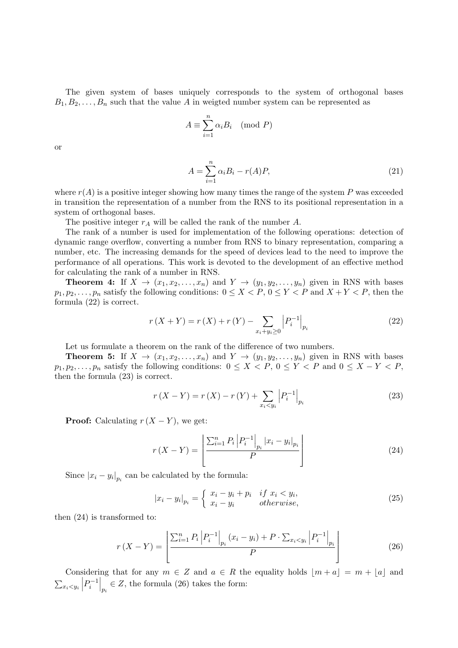The given system of bases uniquely corresponds to the system of orthogonal bases  $B_1, B_2, \ldots, B_n$  such that the value A in weigted number system can be represented as

$$
A \equiv \sum_{i=1}^{n} \alpha_i B_i \pmod{P}
$$

or

$$
A = \sum_{i=1}^{n} \alpha_i B_i - r(A)P,
$$
\n(21)

where  $r(A)$  is a positive integer showing how many times the range of the system P was exceeded in transition the representation of a number from the RNS to its positional representation in a system of orthogonal bases.

The positive integer  $r_A$  will be called the rank of the number  $A$ .

The rank of a number is used for implementation of the following operations: detection of dynamic range overflow, converting a number from RNS to binary representation, comparing a number, etc. The increasing demands for the speed of devices lead to the need to improve the performance of all operations. This work is devoted to the development of an effective method for calculating the rank of a number in RNS.

**Theorem 4:** If  $X \to (x_1, x_2, \ldots, x_n)$  and  $Y \to (y_1, y_2, \ldots, y_n)$  given in RNS with bases  $p_1, p_2, \ldots, p_n$  satisfy the following conditions:  $0 \le X < P$ ,  $0 \le Y < P$  and  $X + Y < P$ , then the formula (22) is correct.

$$
r(X+Y) = r(X) + r(Y) - \sum_{x_i + y_i \ge 0} \left| P_i^{-1} \right|_{p_i}
$$
 (22)

Let us formulate a theorem on the rank of the difference of two numbers.

**Theorem 5:** If  $X \to (x_1, x_2, \ldots, x_n)$  and  $Y \to (y_1, y_2, \ldots, y_n)$  given in RNS with bases  $p_1, p_2, \ldots, p_n$  satisfy the following conditions:  $0 \leq X < P$ ,  $0 \leq Y < P$  and  $0 \leq X - Y < P$ , then the formula (23) is correct.

$$
r(X - Y) = r(X) - r(Y) + \sum_{x_i < y_i} \left| P_i^{-1} \right|_{p_i} \tag{23}
$$

**Proof:** Calculating  $r(X - Y)$ , we get:

$$
r(X - Y) = \left[ \frac{\sum_{i=1}^{n} P_i \left| P_i^{-1} \right|_{p_i} |x_i - y_i|_{p_i}}{P} \right]
$$
(24)

Since  $|x_i - y_i|_{p_i}$  can be calculated by the formula:

$$
|x_i - y_i|_{p_i} = \begin{cases} x_i - y_i + p_i & \text{if } x_i < y_i, \\ x_i - y_i & \text{otherwise,} \end{cases} \tag{25}
$$

then (24) is transformed to:

$$
r(X - Y) = \left[ \frac{\sum_{i=1}^{n} P_i \left| P_i^{-1} \right|_{p_i} (x_i - y_i) + P \cdot \sum_{x_i < y_i} \left| P_i^{-1} \right|_{p_i}}{P} \right] \tag{26}
$$

Considering that for any  $m \in \mathbb{Z}$  and  $a \in \mathbb{R}$  the equality holds  $\lfloor m + a \rfloor = m + \lfloor a \rfloor$  and  $\sum_{x_i \leq y_i} \left| P_i^{-1} \right|_{p_i} \in Z$ , the formula (26) takes the form: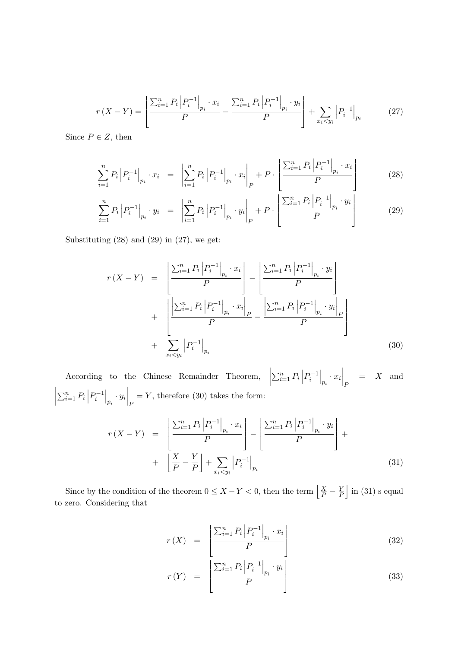$$
r(X - Y) = \left[ \frac{\sum_{i=1}^{n} P_i \left| P_i^{-1} \right|_{p_i} \cdot x_i}{P} - \frac{\sum_{i=1}^{n} P_i \left| P_i^{-1} \right|_{p_i} \cdot y_i}{P} \right] + \sum_{x_i < y_i} \left| P_i^{-1} \right|_{p_i} \tag{27}
$$

Since  $P \in Z$ , then

$$
\sum_{i=1}^{n} P_i \left| P_i^{-1} \right|_{p_i} \cdot x_i = \left| \sum_{i=1}^{n} P_i \left| P_i^{-1} \right|_{p_i} \cdot x_i \right|_P + P \cdot \left| \frac{\sum_{i=1}^{n} P_i \left| P_i^{-1} \right|_{p_i} \cdot x_i}{P} \right| \tag{28}
$$

$$
\sum_{i=1}^{n} P_i \left| P_i^{-1} \right|_{p_i} \cdot y_i = \left| \sum_{i=1}^{n} P_i \left| P_i^{-1} \right|_{p_i} \cdot y_i \right|_P + P \cdot \left| \frac{\sum_{i=1}^{n} P_i \left| P_i^{-1} \right|_{p_i} \cdot y_i}{P} \right| \tag{29}
$$

Substituting  $(28)$  and  $(29)$  in  $(27)$ , we get:

$$
r(X - Y) = \left[ \frac{\sum_{i=1}^{n} P_i \left| P_i^{-1} \right|_{p_i} \cdot x_i}{P} \right] - \left[ \frac{\sum_{i=1}^{n} P_i \left| P_i^{-1} \right|_{p_i} \cdot y_i}{P} \right] + \left[ \frac{\left| \sum_{i=1}^{n} P_i \left| P_i^{-1} \right|_{p_i} \cdot x_i \right|_{P}}{P} - \frac{\left| \sum_{i=1}^{n} P_i \left| P_i^{-1} \right|_{p_i} \cdot y_i \right|_{P}}{P} \right] + \sum_{x_i < y_i} \left| P_i^{-1} \right|_{p_i} \tag{30}
$$

According to the Chinese Remainder Theorem,  $\sum_{i=1}^{n} P_i \left| P_i^{-1} \right|_{p_i} \cdot x_i \big|_{P}$  $=$  X and  $\sum_{i=1}^{n} P_i \left| P_i^{-1} \right|_{p_i} \cdot y_i \big|_{P}$  $=Y$ , therefore (30) takes the form:

$$
r(X - Y) = \left[ \frac{\sum_{i=1}^{n} P_i \left| P_i^{-1} \right|_{p_i} \cdot x_i}{P} \right] - \left[ \frac{\sum_{i=1}^{n} P_i \left| P_i^{-1} \right|_{p_i} \cdot y_i}{P} \right] + \left[ \frac{X}{P} - \frac{Y}{P} \right] + \sum_{x_i < y_i} \left| P_i^{-1} \right|_{p_i} \tag{31}
$$

Since by the condition of the theorem  $0 \leq X - Y < 0$ , then the term  $\left| \frac{X}{P} - \frac{Y}{P}\right|$  $\frac{Y}{P}$  in (31) s equal to zero. Considering that

$$
r(X) = \left[ \frac{\sum_{i=1}^{n} P_i \left| P_i^{-1} \right|_{p_i} \cdot x_i}{P} \right] \tag{32}
$$

$$
r(Y) = \left[ \frac{\sum_{i=1}^{n} P_i \left| P_i^{-1} \right|_{p_i} \cdot y_i}{P} \right] \tag{33}
$$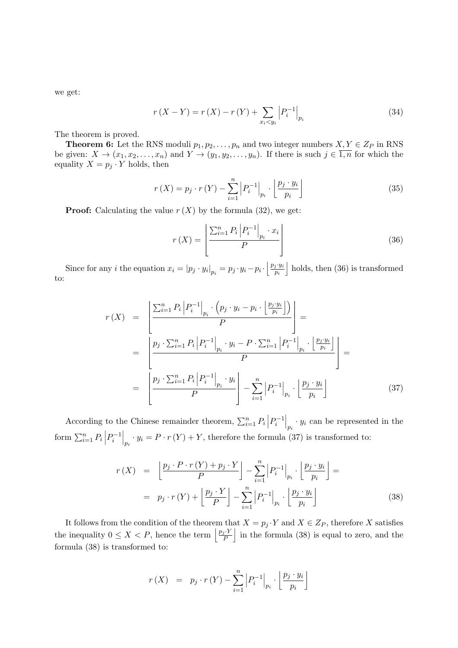we get:

$$
r(X - Y) = r(X) - r(Y) + \sum_{x_i < y_i} \left| P_i^{-1} \right|_{p_i} \tag{34}
$$

The theorem is proved.

**Theorem 6:** Let the RNS moduli  $p_1, p_2, \ldots, p_n$  and two integer numbers  $X, Y \in Z_P$  in RNS be given:  $X \to (x_1, x_2, \ldots, x_n)$  and  $Y \to (y_1, y_2, \ldots, y_n)$ . If there is such  $j \in \overline{1,n}$  for which the equality  $X = p_i \cdot Y$  holds, then

$$
r(X) = p_j \cdot r(Y) - \sum_{i=1}^{n} \left| P_i^{-1} \right|_{p_i} \cdot \left[ \frac{p_j \cdot y_i}{p_i} \right]
$$
 (35)

**Proof:** Calculating the value  $r(X)$  by the formula (32), we get:

$$
r(X) = \left[ \frac{\sum_{i=1}^{n} P_i \left| P_i^{-1} \right|_{p_i} \cdot x_i}{P} \right]
$$
\n(36)

Since for any *i* the equation  $x_i = |p_j \cdot y_i|_{p_i} = p_j \cdot y_i - p_i \cdot \left[ \frac{p_j \cdot y_i}{p_i} \right]$ pi holds, then (36) is transformed to:

$$
r(X) = \left[ \frac{\sum_{i=1}^{n} P_i \left| P_i^{-1} \right|_{p_i} \cdot (p_j \cdot y_i - p_i \cdot \left| \frac{p_j \cdot y_i}{p_i} \right|)}{P} \right] =
$$
  

$$
= \left[ \frac{p_j \cdot \sum_{i=1}^{n} P_i \left| P_i^{-1} \right|_{p_i} \cdot y_i - P \cdot \sum_{i=1}^{n} \left| P_i^{-1} \right|_{p_i} \cdot \left| \frac{p_j \cdot y_i}{p_i} \right|}{P} \right] =
$$
  

$$
= \left[ \frac{p_j \cdot \sum_{i=1}^{n} P_i \left| P_i^{-1} \right|_{p_i} \cdot y_i}{P} \right] - \sum_{i=1}^{n} \left| P_i^{-1} \right|_{p_i} \cdot \left| \frac{p_j \cdot y_i}{p_i} \right| \tag{37}
$$

According to the Chinese remainder theorem,  $\sum_{i=1}^{n} P_i \left| P_i^{-1} \right|_{p_i} \cdot y_i$  can be represented in the form  $\sum_{i=1}^n P_i \left| P_i^{-1} \right|_{p_i} \cdot y_i = P \cdot r(Y) + Y$ , therefore the formula (37) is transformed to:

$$
r(X) = \left[ \frac{p_j \cdot P \cdot r(Y) + p_j \cdot Y}{P} \right] - \sum_{i=1}^{n} \left| P_i^{-1} \right|_{p_i} \cdot \left[ \frac{p_j \cdot y_i}{p_i} \right] =
$$
  

$$
= p_j \cdot r(Y) + \left[ \frac{p_j \cdot Y}{P} \right] - \sum_{i=1}^{n} \left| P_i^{-1} \right|_{p_i} \cdot \left[ \frac{p_j \cdot y_i}{p_i} \right]
$$
(38)

It follows from the condition of the theorem that  $X = p_j \cdot Y$  and  $X \in Z_P$ , therefore X satisfies the inequality  $0 \leq X < P$ , hence the term  $\left\lfloor \frac{p_j \cdot Y}{P} \right\rfloor$  $\frac{f_j \cdot Y}{P}$  in the formula (38) is equal to zero, and the formula (38) is transformed to:

$$
r(X) = p_j \cdot r(Y) - \sum_{i=1}^{n} \left| P_i^{-1} \right|_{p_i} \cdot \left| \frac{p_j \cdot y_i}{p_i} \right|
$$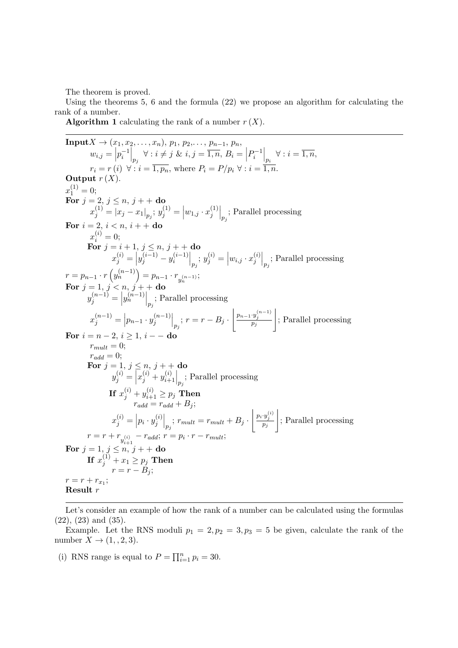The theorem is proved.

Using the theorems 5, 6 and the formula (22) we propose an algorithm for calculating the rank of a number.

**Algorithm 1** calculating the rank of a number  $r(X)$ .

**Input** 
$$
X \rightarrow (x_1, x_2, ..., x_n)
$$
,  $p_1, p_2, ..., p_{n-1}, p_n$ ,  
\n $w_{i,j} = \begin{vmatrix} p_i^{-1} \\ p_i^{-1} \end{vmatrix}_{p_j} \forall : i \neq j \ \& i, j = \overline{1, n}, B_i = \begin{vmatrix} p_i^{-1} \\ p_i^{-1} \end{vmatrix}_{p_i} \forall : i = \overline{1, n},$   
\n $r_i = r(i) \ \forall : i = \overline{1, p_n}$ , where  $P_i = P/p_i \ \forall : i = \overline{1, n}$ .  
\n**Output**  $r(X)$ .  
\n $x_1^{(1)} = 0$ ;  
\n**For**  $j = 2, j \le n, j + +$ **do**  
\n $x_j^{(1)} = |x_j - x_1|_{p_j}; y_j^{(1)} = |w_{1,j} \cdot x_j^{(1)}|_{p_j};$  Parallel processing  
\n**For**  $i = 2, i < n, i + +$ **do**  
\n $x_i^{(i)} = 0$ ;  
\n**For**  $j = i + 1, j \le n, j + +$ **do**  
\n $x_j^{(i)} = |y_j^{(i-1)} - y_i^{(i-1)}|_{p_j}; y_j^{(i)} = |w_{i,j} \cdot x_j^{(i)}|_{p_j};$  Parallel processing  
\n $r = p_{n-1} \cdot r(y_n^{(n-1)}) = p_{n-1} \cdot r_{y_n^{(n-1)}};$   
\n**For**  $j = 1, j < n, j +$ **do**  
\n $y_j^{(n-1)} = |p_{n-1} \cdot y_j^{(n-1)}|_{p_j};$  Parallel processing  
\n $x_j^{(n-1)} = |p_{n-1} \cdot y_j^{(n-1)}|_{p_j};$   $r = r - B_j \cdot \begin{vmatrix} p_{n-1} \cdot y_j^{(n-1)} \\ p_j \end{vmatrix};$  Parallel processing  
\n**For**  $i = n - 2, i \ge 1, i -$ **do**  
\n $r_{n-1}^{(n-1)} = p_{n-1} \cdot p_{n-1}^{(n-1)} = p_{n$ 

Let's consider an example of how the rank of a number can be calculated using the formulas (22), (23) and (35).

Example. Let the RNS moduli  $p_1 = 2, p_2 = 3, p_3 = 5$  be given, calculate the rank of the number  $X \to (1, 2, 3)$ .

(i) RNS range is equal to  $P = \prod_{i=1}^{n} p_i = 30$ .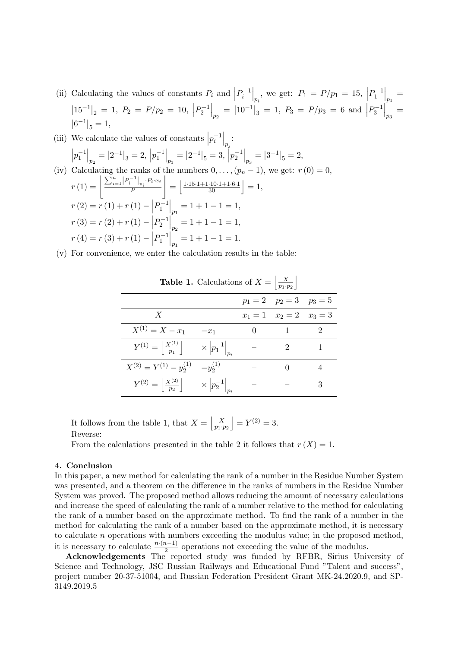(ii) Calculating the values of constants  $P_i$  and  $|P_i^{-1}|_{p_i}$ , we get:  $P_1 = P/p_1 = 15$ ,  $|P_1^{-1}|_{p_1} =$  $\left|15^{-1}\right|_2 = 1, P_2 = P/p_2 = 10, \left|P_2^{-1}\right|_{p_2} = \left|10^{-1}\right|_3 = 1, P_3 = P/p_3 = 6 \text{ and } \left|P_3^{-1}\right|_{p_3} =$  $|6^{-1}|_5 = 1,$ 

(iii) We calculate the values of constants 
$$
|p_i^{-1}|_{p_j}
$$
:  
\n
$$
|p_1^{-1}|_{p_2} = |2^{-1}|_3 = 2, |p_1^{-1}|_{p_3} = |2^{-1}|_5 = 3, |p_2^{-1}|_{p_3} = |3^{-1}|_5 = 2,
$$
\n(iv) Calculating the ranks of the numbers  $0, \ldots, (p_n - 1)$ , we get:  $r(0) = 0$ ,  
\n
$$
r(1) = \left[ \frac{\sum_{i=1}^n |P_i^{-1}|_{p_i} \cdot P_i \cdot x_i}{P} \right] = \left[ \frac{1 \cdot 15 \cdot 1 + 1 \cdot 10 \cdot 1 + 1 \cdot 6 \cdot 1}{30} \right] = 1,
$$
\n
$$
r(2) = r(1) + r(1) - |P_1^{-1}|_{p_1} = 1 + 1 - 1 = 1,
$$
\n
$$
r(3) = r(2) + r(1) - |P_2^{-1}|_{p_2} = 1 + 1 - 1 = 1,
$$
\n
$$
r(4) = r(3) + r(1) - |P_1^{-1}|_{p_1} = 1 + 1 - 1 = 1.
$$

(v) For convenience, we enter the calculation results in the table:

| <b>Table 1.</b> Calculations of $\Lambda =$<br>$\lfloor \overline{p_1 \cdot p_2} \rfloor$ |                                           |  |                               |  |  |  |  |
|-------------------------------------------------------------------------------------------|-------------------------------------------|--|-------------------------------|--|--|--|--|
|                                                                                           |                                           |  | $p_1 = 2$ $p_2 = 3$ $p_3 = 5$ |  |  |  |  |
| $\boldsymbol{X}$                                                                          |                                           |  | $x_1 = 1$ $x_2 = 2$ $x_3 = 3$ |  |  |  |  |
| $X^{(1)} = X - x_1$                                                                       | $-x_1$                                    |  |                               |  |  |  |  |
| $Y^{(1)} = \left  \frac{X^{(1)}}{p_1} \right $                                            | $\times$ $ p_1^{-1} _{n_1}$               |  |                               |  |  |  |  |
| $X^{(2)} = Y^{(1)} - y_2^{(1)}$                                                           | $-y_2^{(1)}$                              |  |                               |  |  |  |  |
| $Y^{(2)} = \left  \frac{X^{(2)}}{p_2} \right $                                            | $\times$ $\left p_2^{-1}\right _{\infty}$ |  |                               |  |  |  |  |

**Table 1.** Calculations of  $X = \begin{bmatrix} X \\ m,n \end{bmatrix}$ 

It follows from the table 1, that  $X = \begin{bmatrix} X \\ p_1 \cdot p_2 \end{bmatrix}$  $= Y^{(2)} = 3.$ Reverse:

From the calculations presented in the table 2 it follows that  $r(X) = 1$ .

### 4. Conclusion

In this paper, a new method for calculating the rank of a number in the Residue Number System was presented, and a theorem on the difference in the ranks of numbers in the Residue Number System was proved. The proposed method allows reducing the amount of necessary calculations and increase the speed of calculating the rank of a number relative to the method for calculating the rank of a number based on the approximate method. To find the rank of a number in the method for calculating the rank of a number based on the approximate method, it is necessary to calculate n operations with numbers exceeding the modulus value; in the proposed method, it is necessary to calculate  $\frac{n \cdot (n-1)}{2}$  operations not exceeding the value of the modulus.

Acknowledgements The reported study was funded by RFBR, Sirius University of Science and Technology, JSC Russian Railways and Educational Fund "Talent and success", project number 20-37-51004, and Russian Federation President Grant MK-24.2020.9, and SP-3149.2019.5